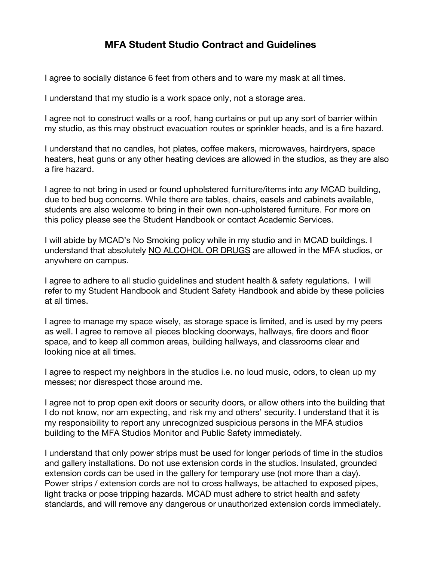## **MFA Student Studio Contract and Guidelines**

I agree to socially distance 6 feet from others and to ware my mask at all times.

I understand that my studio is a work space only, not a storage area.

I agree not to construct walls or a roof, hang curtains or put up any sort of barrier within my studio, as this may obstruct evacuation routes or sprinkler heads, and is a fire hazard.

I understand that no candles, hot plates, coffee makers, microwaves, hairdryers, space heaters, heat guns or any other heating devices are allowed in the studios, as they are also a fire hazard.

I agree to not bring in used or found upholstered furniture/items into *any* MCAD building, due to bed bug concerns. While there are tables, chairs, easels and cabinets available, students are also welcome to bring in their own non-upholstered furniture. For more on this policy please see the Student Handbook or contact Academic Services.

I will abide by MCAD's No Smoking policy while in my studio and in MCAD buildings. I understand that absolutely NO ALCOHOL OR DRUGS are allowed in the MFA studios, or anywhere on campus.

I agree to adhere to all studio guidelines and student health & safety regulations. I will refer to my Student Handbook and Student Safety Handbook and abide by these policies at all times.

I agree to manage my space wisely, as storage space is limited, and is used by my peers as well. I agree to remove all pieces blocking doorways, hallways, fire doors and floor space, and to keep all common areas, building hallways, and classrooms clear and looking nice at all times.

I agree to respect my neighbors in the studios i.e. no loud music, odors, to clean up my messes; nor disrespect those around me.

I agree not to prop open exit doors or security doors, or allow others into the building that I do not know, nor am expecting, and risk my and others' security. I understand that it is my responsibility to report any unrecognized suspicious persons in the MFA studios building to the MFA Studios Monitor and Public Safety immediately.

I understand that only power strips must be used for longer periods of time in the studios and gallery installations. Do not use extension cords in the studios. Insulated, grounded extension cords can be used in the gallery for temporary use (not more than a day). Power strips / extension cords are not to cross hallways, be attached to exposed pipes, light tracks or pose tripping hazards. MCAD must adhere to strict health and safety standards, and will remove any dangerous or unauthorized extension cords immediately.